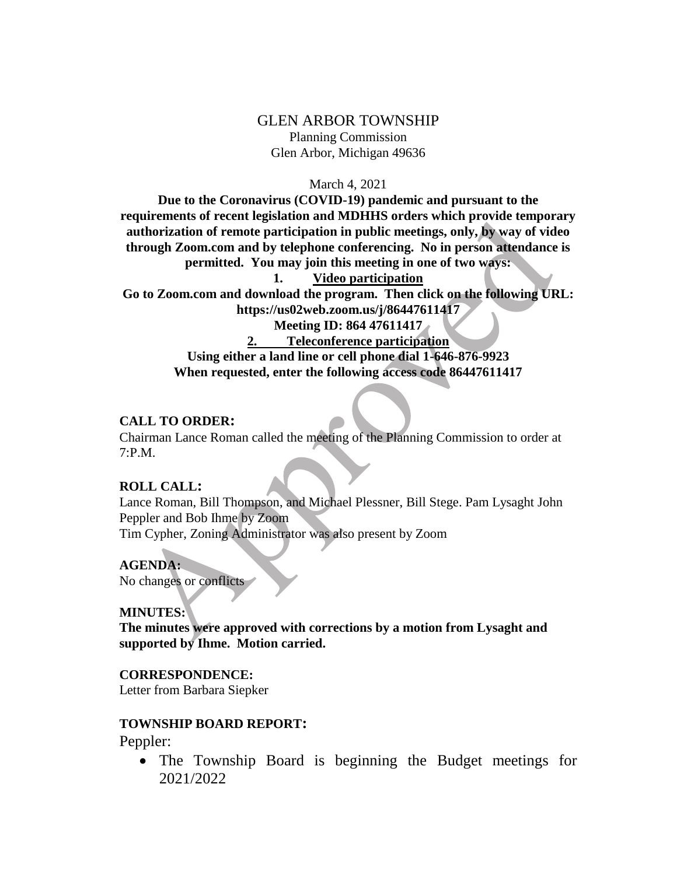# GLEN ARBOR TOWNSHIP Planning Commission Glen Arbor, Michigan 49636

#### March 4, 2021

**Due to the Coronavirus (COVID-19) pandemic and pursuant to the requirements of recent legislation and MDHHS orders which provide temporary authorization of remote participation in public meetings, only, by way of video through Zoom.com and by telephone conferencing. No in person attendance is permitted. You may join this meeting in one of two ways: 1. Video participation Go to Zoom.com and download the program. Then click on the following URL:** 

**https://us02web.zoom.us/j/86447611417**

**Meeting ID: 864 47611417**

**2. Teleconference participation Using either a land line or cell phone dial 1-646-876-9923 When requested, enter the following access code 86447611417**

#### **CALL TO ORDER:**

Chairman Lance Roman called the meeting of the Planning Commission to order at 7:P.M.

### **ROLL CALL:**

Lance Roman, Bill Thompson, and Michael Plessner, Bill Stege. Pam Lysaght John Peppler and Bob Ihme by Zoom Tim Cypher, Zoning Administrator was also present by Zoom

### **AGENDA:**

No changes or conflicts

### **MINUTES:**

**The minutes were approved with corrections by a motion from Lysaght and supported by Ihme. Motion carried.**

#### **CORRESPONDENCE:**

Letter from Barbara Siepker

### **TOWNSHIP BOARD REPORT:**

Peppler:

• The Township Board is beginning the Budget meetings for 2021/2022